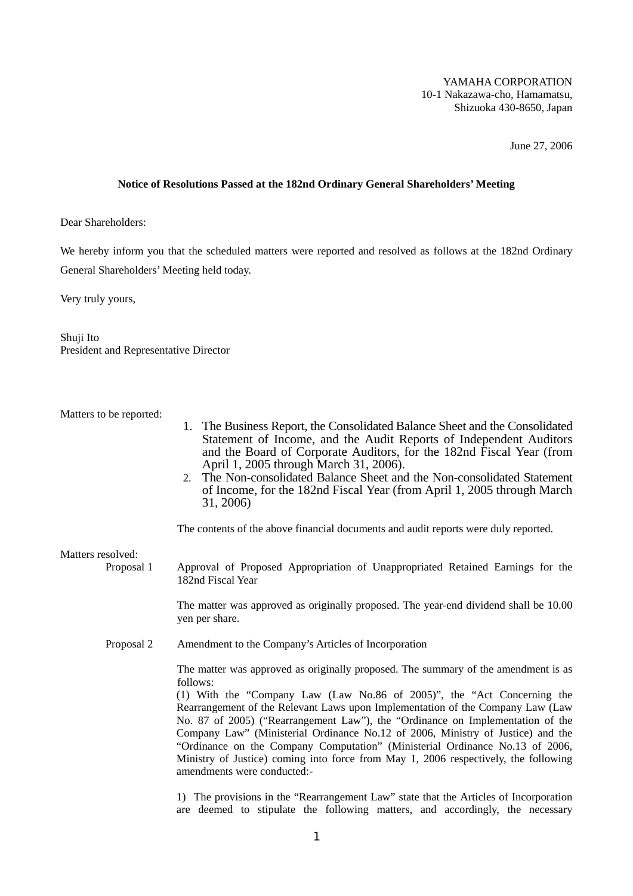# YAMAHA CORPORATION 10-1 Nakazawa-cho, Hamamatsu, Shizuoka 430-8650, Japan

June 27, 2006

## **Notice of Resolutions Passed at the 182nd Ordinary General Shareholders' Meeting**

Dear Shareholders:

We hereby inform you that the scheduled matters were reported and resolved as follows at the 182nd Ordinary General Shareholders' Meeting held today.

Very truly yours,

Shuji Ito President and Representative Director

Matters to be reported:

- 1. The Business Report, the Consolidated Balance Sheet and the Consolidated Statement of Income, and the Audit Reports of Independent Auditors and the Board of Corporate Auditors, for the 182nd Fiscal Year (from April 1, 2005 through March 31, 2006).
- 2. The Non-consolidated Balance Sheet and the Non-consolidated Statement of Income, for the 182nd Fiscal Year (from April 1, 2005 through March 31, 2006)

The contents of the above financial documents and audit reports were duly reported.

Matters resolved:

Proposal 1 Approval of Proposed Appropriation of Unappropriated Retained Earnings for the 182nd Fiscal Year

> The matter was approved as originally proposed. The year-end dividend shall be 10.00 yen per share.

Proposal 2 Amendment to the Company's Articles of Incorporation

The matter was approved as originally proposed. The summary of the amendment is as follows:

(1) With the "Company Law (Law No.86 of 2005)", the "Act Concerning the Rearrangement of the Relevant Laws upon Implementation of the Company Law (Law No. 87 of 2005) ("Rearrangement Law"), the "Ordinance on Implementation of the Company Law" (Ministerial Ordinance No.12 of 2006, Ministry of Justice) and the "Ordinance on the Company Computation" (Ministerial Ordinance No.13 of 2006, Ministry of Justice) coming into force from May 1, 2006 respectively, the following amendments were conducted:-

1) The provisions in the "Rearrangement Law" state that the Articles of Incorporation are deemed to stipulate the following matters, and accordingly, the necessary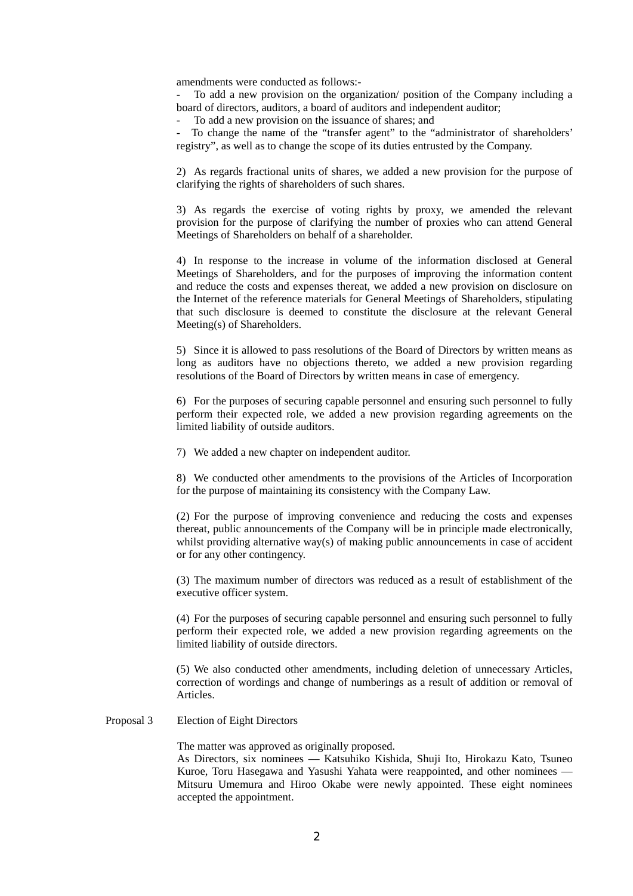amendments were conducted as follows:-

- To add a new provision on the organization/ position of the Company including a board of directors, auditors, a board of auditors and independent auditor;

To add a new provision on the issuance of shares; and

To change the name of the "transfer agent" to the "administrator of shareholders' registry", as well as to change the scope of its duties entrusted by the Company.

2) As regards fractional units of shares, we added a new provision for the purpose of clarifying the rights of shareholders of such shares.

3) As regards the exercise of voting rights by proxy, we amended the relevant provision for the purpose of clarifying the number of proxies who can attend General Meetings of Shareholders on behalf of a shareholder.

4) In response to the increase in volume of the information disclosed at General Meetings of Shareholders, and for the purposes of improving the information content and reduce the costs and expenses thereat, we added a new provision on disclosure on the Internet of the reference materials for General Meetings of Shareholders, stipulating that such disclosure is deemed to constitute the disclosure at the relevant General Meeting(s) of Shareholders.

5) Since it is allowed to pass resolutions of the Board of Directors by written means as long as auditors have no objections thereto, we added a new provision regarding resolutions of the Board of Directors by written means in case of emergency.

6) For the purposes of securing capable personnel and ensuring such personnel to fully perform their expected role, we added a new provision regarding agreements on the limited liability of outside auditors.

7) We added a new chapter on independent auditor.

8) We conducted other amendments to the provisions of the Articles of Incorporation for the purpose of maintaining its consistency with the Company Law.

(2) For the purpose of improving convenience and reducing the costs and expenses thereat, public announcements of the Company will be in principle made electronically, whilst providing alternative way(s) of making public announcements in case of accident or for any other contingency.

(3) The maximum number of directors was reduced as a result of establishment of the executive officer system.

(4) For the purposes of securing capable personnel and ensuring such personnel to fully perform their expected role, we added a new provision regarding agreements on the limited liability of outside directors.

(5) We also conducted other amendments, including deletion of unnecessary Articles, correction of wordings and change of numberings as a result of addition or removal of Articles.

### Proposal 3 Election of Eight Directors

The matter was approved as originally proposed.

 As Directors, six nominees –– Katsuhiko Kishida, Shuji Ito, Hirokazu Kato, Tsuneo Kuroe, Toru Hasegawa and Yasushi Yahata were reappointed, and other nominees — Mitsuru Umemura and Hiroo Okabe were newly appointed. These eight nominees accepted the appointment.